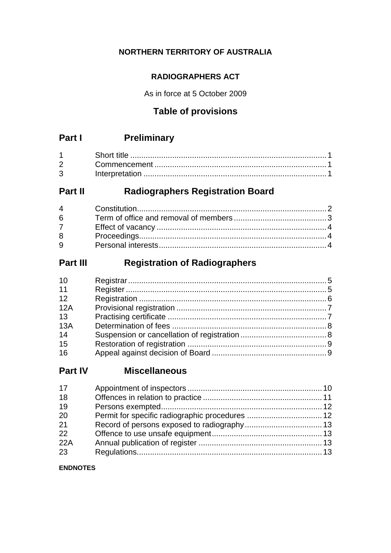### **NORTHERN TERRITORY OF AUSTRALIA**

### **RADIOGRAPHERS ACT**

As in force at 5 October 2009

### **Table of provisions**

# **Part I Preliminary**

| $2^{\sim}$  |  |
|-------------|--|
| $3^{\circ}$ |  |

## **Part II Radiographers Registration Board**

| 6               |  |
|-----------------|--|
| $7\overline{ }$ |  |
| 8               |  |
| $9^{\circ}$     |  |

### **Part III Registration of Radiographers**

| 10  |  |
|-----|--|
| 11  |  |
| 12  |  |
| 12A |  |
| 13  |  |
| 13A |  |
| 14  |  |
| 15  |  |
| 16  |  |

### **Part IV Miscellaneous**

| 17  |  |
|-----|--|
| 18  |  |
| 19  |  |
| 20  |  |
| 21  |  |
| 22  |  |
| 22A |  |
| 23  |  |

#### **ENDNOTES**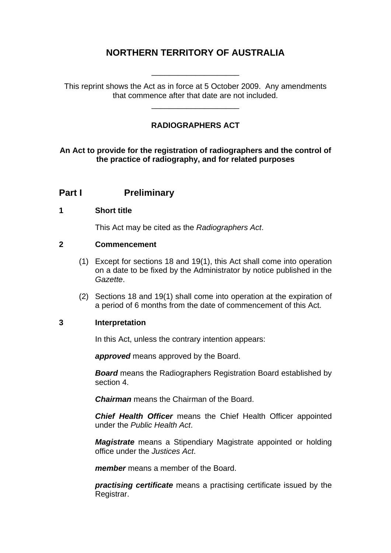### **NORTHERN TERRITORY OF AUSTRALIA**

This reprint shows the Act as in force at 5 October 2009. Any amendments that commence after that date are not included.

\_\_\_\_\_\_\_\_\_\_\_\_\_\_\_\_\_\_\_\_

\_\_\_\_\_\_\_\_\_\_\_\_\_\_\_\_\_\_\_\_

#### **RADIOGRAPHERS ACT**

#### **An Act to provide for the registration of radiographers and the control of the practice of radiography, and for related purposes**

### **Part I** Preliminary

#### <span id="page-1-0"></span>**1 Short title**

This Act may be cited as the *Radiographers Act*.

#### <span id="page-1-1"></span>**2 Commencement**

- (1) Except for sections 18 and 19(1), this Act shall come into operation on a date to be fixed by the Administrator by notice published in the *Gazette*.
- (2) Sections 18 and 19(1) shall come into operation at the expiration of a period of 6 months from the date of commencement of this Act.

#### <span id="page-1-2"></span>**3 Interpretation**

In this Act, unless the contrary intention appears:

*approved* means approved by the Board.

*Board* means the Radiographers Registration Board established by section 4.

*Chairman* means the Chairman of the Board.

*Chief Health Officer* means the Chief Health Officer appointed under the *Public Health Act*.

*Magistrate* means a Stipendiary Magistrate appointed or holding office under the *Justices Act*.

*member* means a member of the Board.

*practising certificate* means a practising certificate issued by the Registrar.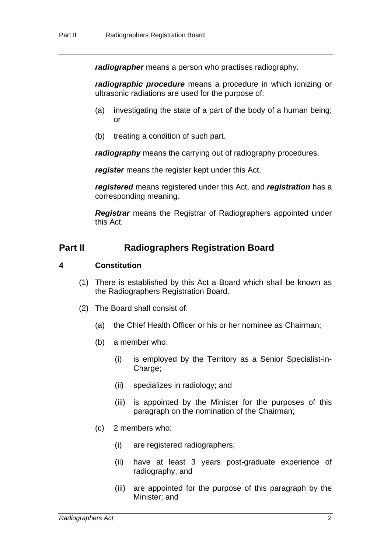*radiographer* means a person who practises radiography.

*radiographic procedure* means a procedure in which ionizing or ultrasonic radiations are used for the purpose of:

- (a) investigating the state of a part of the body of a human being; or
- (b) treating a condition of such part.

*radiography* means the carrying out of radiography procedures.

*register* means the register kept under this Act.

*registered* means registered under this Act, and *registration* has a corresponding meaning.

*Registrar* means the Registrar of Radiographers appointed under this Act.

### **Part II** Radiographers Registration Board

#### <span id="page-2-0"></span>**4 Constitution**

- (1) There is established by this Act a Board which shall be known as the Radiographers Registration Board.
- (2) The Board shall consist of:
	- (a) the Chief Health Officer or his or her nominee as Chairman;
	- (b) a member who:
		- (i) is employed by the Territory as a Senior Specialist-in-Charge;
		- (ii) specializes in radiology; and
		- (iii) is appointed by the Minister for the purposes of this paragraph on the nomination of the Chairman;
	- (c) 2 members who:
		- (i) are registered radiographers;
		- (ii) have at least 3 years post-graduate experience of radiography; and
		- (iii) are appointed for the purpose of this paragraph by the Minister; and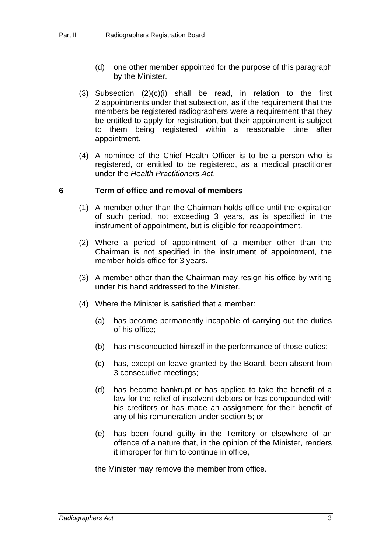- (d) one other member appointed for the purpose of this paragraph by the Minister.
- (3) Subsection (2)(c)(i) shall be read, in relation to the first 2 appointments under that subsection, as if the requirement that the members be registered radiographers were a requirement that they be entitled to apply for registration, but their appointment is subject to them being registered within a reasonable time after appointment.
- (4) A nominee of the Chief Health Officer is to be a person who is registered, or entitled to be registered, as a medical practitioner under the *Health Practitioners Act*.

#### <span id="page-3-0"></span>**6 Term of office and removal of members**

- (1) A member other than the Chairman holds office until the expiration of such period, not exceeding 3 years, as is specified in the instrument of appointment, but is eligible for reappointment.
- (2) Where a period of appointment of a member other than the Chairman is not specified in the instrument of appointment, the member holds office for 3 years.
- (3) A member other than the Chairman may resign his office by writing under his hand addressed to the Minister.
- (4) Where the Minister is satisfied that a member:
	- (a) has become permanently incapable of carrying out the duties of his office;
	- (b) has misconducted himself in the performance of those duties;
	- (c) has, except on leave granted by the Board, been absent from 3 consecutive meetings;
	- (d) has become bankrupt or has applied to take the benefit of a law for the relief of insolvent debtors or has compounded with his creditors or has made an assignment for their benefit of any of his remuneration under section 5; or
	- (e) has been found guilty in the Territory or elsewhere of an offence of a nature that, in the opinion of the Minister, renders it improper for him to continue in office,

the Minister may remove the member from office.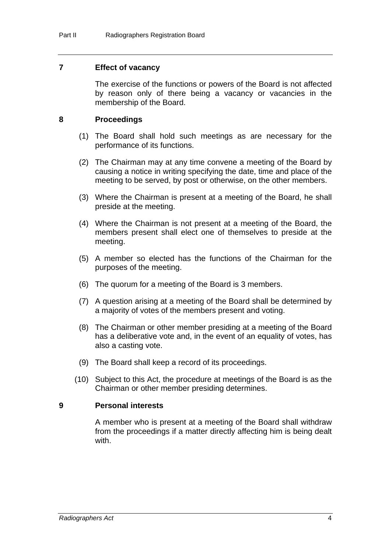#### <span id="page-4-0"></span>**7 Effect of vacancy**

The exercise of the functions or powers of the Board is not affected by reason only of there being a vacancy or vacancies in the membership of the Board.

#### <span id="page-4-1"></span>**8 Proceedings**

- (1) The Board shall hold such meetings as are necessary for the performance of its functions.
- (2) The Chairman may at any time convene a meeting of the Board by causing a notice in writing specifying the date, time and place of the meeting to be served, by post or otherwise, on the other members.
- (3) Where the Chairman is present at a meeting of the Board, he shall preside at the meeting.
- (4) Where the Chairman is not present at a meeting of the Board, the members present shall elect one of themselves to preside at the meeting.
- (5) A member so elected has the functions of the Chairman for the purposes of the meeting.
- (6) The quorum for a meeting of the Board is 3 members.
- (7) A question arising at a meeting of the Board shall be determined by a majority of votes of the members present and voting.
- (8) The Chairman or other member presiding at a meeting of the Board has a deliberative vote and, in the event of an equality of votes, has also a casting vote.
- (9) The Board shall keep a record of its proceedings.
- (10) Subject to this Act, the procedure at meetings of the Board is as the Chairman or other member presiding determines.

#### <span id="page-4-2"></span>**9 Personal interests**

A member who is present at a meeting of the Board shall withdraw from the proceedings if a matter directly affecting him is being dealt with.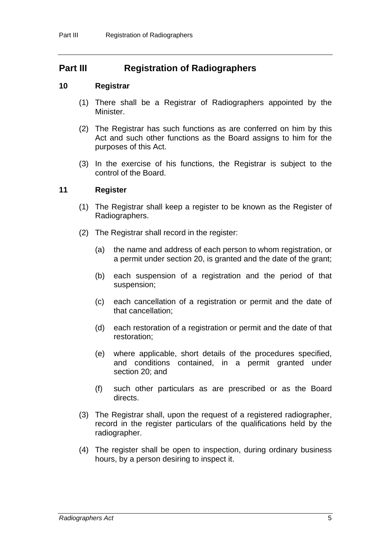### **Part III Registration of Radiographers**

#### <span id="page-5-0"></span>**10 Registrar**

- (1) There shall be a Registrar of Radiographers appointed by the Minister.
- (2) The Registrar has such functions as are conferred on him by this Act and such other functions as the Board assigns to him for the purposes of this Act.
- (3) In the exercise of his functions, the Registrar is subject to the control of the Board.

#### <span id="page-5-1"></span>**11 Register**

- (1) The Registrar shall keep a register to be known as the Register of Radiographers.
- (2) The Registrar shall record in the register:
	- (a) the name and address of each person to whom registration, or a permit under section 20, is granted and the date of the grant;
	- (b) each suspension of a registration and the period of that suspension;
	- (c) each cancellation of a registration or permit and the date of that cancellation;
	- (d) each restoration of a registration or permit and the date of that restoration;
	- (e) where applicable, short details of the procedures specified, and conditions contained, in a permit granted under section 20; and
	- (f) such other particulars as are prescribed or as the Board directs.
- (3) The Registrar shall, upon the request of a registered radiographer, record in the register particulars of the qualifications held by the radiographer.
- (4) The register shall be open to inspection, during ordinary business hours, by a person desiring to inspect it.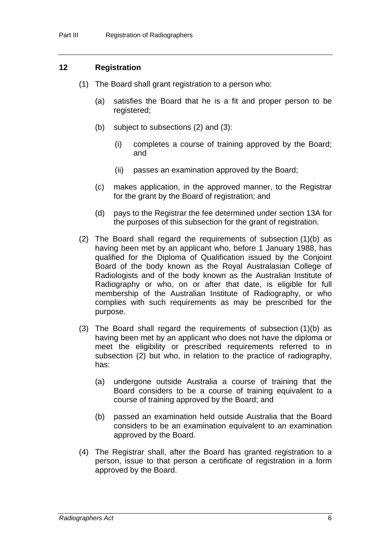#### <span id="page-6-0"></span>**12 Registration**

- (1) The Board shall grant registration to a person who:
	- (a) satisfies the Board that he is a fit and proper person to be registered;
	- (b) subject to subsections (2) and (3):
		- (i) completes a course of training approved by the Board; and
		- (ii) passes an examination approved by the Board;
	- (c) makes application, in the approved manner, to the Registrar for the grant by the Board of registration; and
	- (d) pays to the Registrar the fee determined under section 13A for the purposes of this subsection for the grant of registration.
- (2) The Board shall regard the requirements of subsection (1)(b) as having been met by an applicant who, before 1 January 1988, has qualified for the Diploma of Qualification issued by the Conjoint Board of the body known as the Royal Australasian College of Radiologists and of the body known as the Australian Institute of Radiography or who, on or after that date, is eligible for full membership of the Australian Institute of Radiography, or who complies with such requirements as may be prescribed for the purpose.
- (3) The Board shall regard the requirements of subsection (1)(b) as having been met by an applicant who does not have the diploma or meet the eligibility or prescribed requirements referred to in subsection (2) but who, in relation to the practice of radiography, has:
	- (a) undergone outside Australia a course of training that the Board considers to be a course of training equivalent to a course of training approved by the Board; and
	- (b) passed an examination held outside Australia that the Board considers to be an examination equivalent to an examination approved by the Board.
- (4) The Registrar shall, after the Board has granted registration to a person, issue to that person a certificate of registration in a form approved by the Board.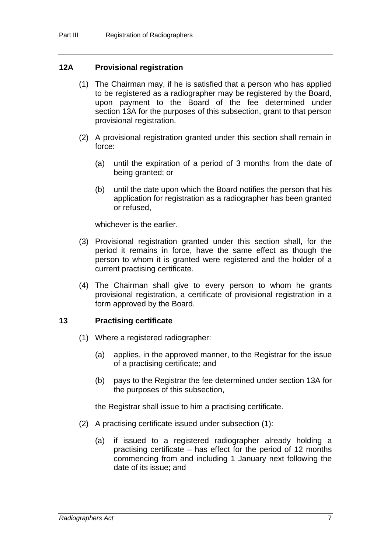#### <span id="page-7-0"></span>**12A Provisional registration**

- (1) The Chairman may, if he is satisfied that a person who has applied to be registered as a radiographer may be registered by the Board, upon payment to the Board of the fee determined under section 13A for the purposes of this subsection, grant to that person provisional registration.
- (2) A provisional registration granted under this section shall remain in force:
	- (a) until the expiration of a period of 3 months from the date of being granted; or
	- (b) until the date upon which the Board notifies the person that his application for registration as a radiographer has been granted or refused,

whichever is the earlier.

- (3) Provisional registration granted under this section shall, for the period it remains in force, have the same effect as though the person to whom it is granted were registered and the holder of a current practising certificate.
- (4) The Chairman shall give to every person to whom he grants provisional registration, a certificate of provisional registration in a form approved by the Board.

#### <span id="page-7-1"></span>**13 Practising certificate**

- (1) Where a registered radiographer:
	- (a) applies, in the approved manner, to the Registrar for the issue of a practising certificate; and
	- (b) pays to the Registrar the fee determined under section 13A for the purposes of this subsection,

the Registrar shall issue to him a practising certificate.

- (2) A practising certificate issued under subsection (1):
	- (a) if issued to a registered radiographer already holding a practising certificate – has effect for the period of 12 months commencing from and including 1 January next following the date of its issue; and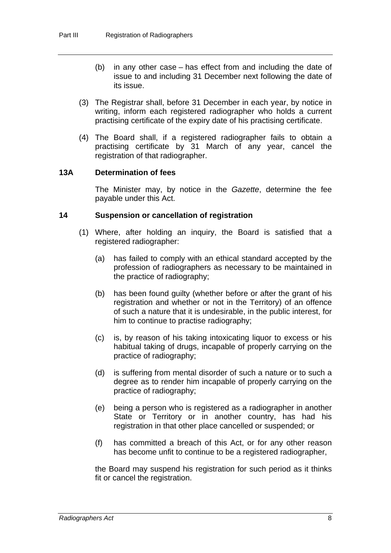- (b) in any other case has effect from and including the date of issue to and including 31 December next following the date of its issue.
- (3) The Registrar shall, before 31 December in each year, by notice in writing, inform each registered radiographer who holds a current practising certificate of the expiry date of his practising certificate.
- (4) The Board shall, if a registered radiographer fails to obtain a practising certificate by 31 March of any year, cancel the registration of that radiographer.

#### <span id="page-8-0"></span>**13A Determination of fees**

The Minister may, by notice in the *Gazette*, determine the fee payable under this Act.

#### <span id="page-8-1"></span>**14 Suspension or cancellation of registration**

- (1) Where, after holding an inquiry, the Board is satisfied that a registered radiographer:
	- (a) has failed to comply with an ethical standard accepted by the profession of radiographers as necessary to be maintained in the practice of radiography;
	- (b) has been found guilty (whether before or after the grant of his registration and whether or not in the Territory) of an offence of such a nature that it is undesirable, in the public interest, for him to continue to practise radiography;
	- (c) is, by reason of his taking intoxicating liquor to excess or his habitual taking of drugs, incapable of properly carrying on the practice of radiography;
	- (d) is suffering from mental disorder of such a nature or to such a degree as to render him incapable of properly carrying on the practice of radiography;
	- (e) being a person who is registered as a radiographer in another State or Territory or in another country, has had his registration in that other place cancelled or suspended; or
	- (f) has committed a breach of this Act, or for any other reason has become unfit to continue to be a registered radiographer,

the Board may suspend his registration for such period as it thinks fit or cancel the registration.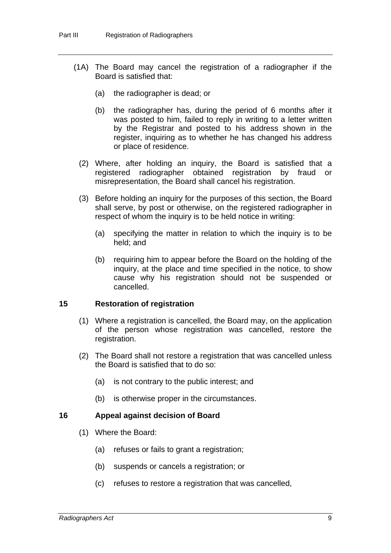- (1A) The Board may cancel the registration of a radiographer if the Board is satisfied that:
	- (a) the radiographer is dead; or
	- (b) the radiographer has, during the period of 6 months after it was posted to him, failed to reply in writing to a letter written by the Registrar and posted to his address shown in the register, inquiring as to whether he has changed his address or place of residence.
	- (2) Where, after holding an inquiry, the Board is satisfied that a registered radiographer obtained registration by fraud or misrepresentation, the Board shall cancel his registration.
	- (3) Before holding an inquiry for the purposes of this section, the Board shall serve, by post or otherwise, on the registered radiographer in respect of whom the inquiry is to be held notice in writing:
		- (a) specifying the matter in relation to which the inquiry is to be held; and
		- (b) requiring him to appear before the Board on the holding of the inquiry, at the place and time specified in the notice, to show cause why his registration should not be suspended or cancelled.

#### <span id="page-9-0"></span>**15 Restoration of registration**

- (1) Where a registration is cancelled, the Board may, on the application of the person whose registration was cancelled, restore the registration.
- (2) The Board shall not restore a registration that was cancelled unless the Board is satisfied that to do so:
	- (a) is not contrary to the public interest; and
	- (b) is otherwise proper in the circumstances.

#### <span id="page-9-1"></span>**16 Appeal against decision of Board**

- (1) Where the Board:
	- (a) refuses or fails to grant a registration:
	- (b) suspends or cancels a registration; or
	- (c) refuses to restore a registration that was cancelled,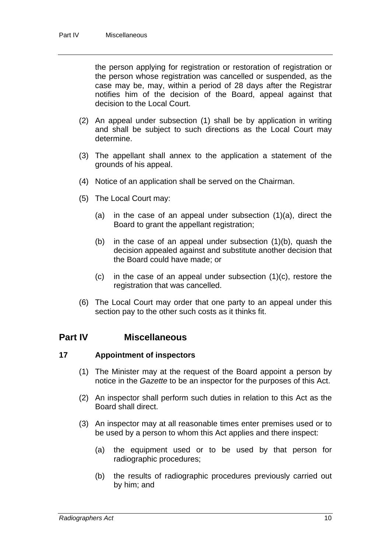the person applying for registration or restoration of registration or the person whose registration was cancelled or suspended, as the case may be, may, within a period of 28 days after the Registrar notifies him of the decision of the Board, appeal against that decision to the Local Court.

- (2) An appeal under subsection (1) shall be by application in writing and shall be subject to such directions as the Local Court may determine.
- (3) The appellant shall annex to the application a statement of the grounds of his appeal.
- (4) Notice of an application shall be served on the Chairman.
- (5) The Local Court may:
	- (a) in the case of an appeal under subsection (1)(a), direct the Board to grant the appellant registration;
	- (b) in the case of an appeal under subsection (1)(b), quash the decision appealed against and substitute another decision that the Board could have made; or
	- (c) in the case of an appeal under subsection (1)(c), restore the registration that was cancelled.
- (6) The Local Court may order that one party to an appeal under this section pay to the other such costs as it thinks fit.

### **Part IV Miscellaneous**

#### <span id="page-10-0"></span>**17 Appointment of inspectors**

- (1) The Minister may at the request of the Board appoint a person by notice in the *Gazette* to be an inspector for the purposes of this Act.
- (2) An inspector shall perform such duties in relation to this Act as the Board shall direct.
- (3) An inspector may at all reasonable times enter premises used or to be used by a person to whom this Act applies and there inspect:
	- (a) the equipment used or to be used by that person for radiographic procedures;
	- (b) the results of radiographic procedures previously carried out by him; and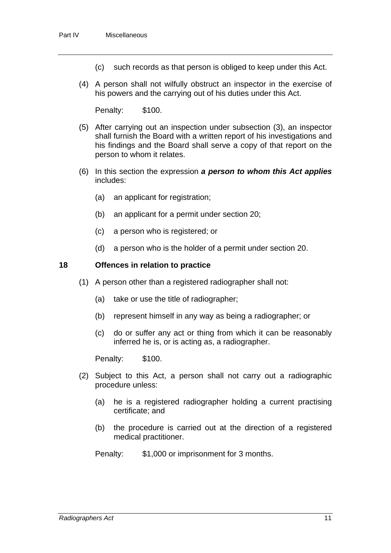- (c) such records as that person is obliged to keep under this Act.
- (4) A person shall not wilfully obstruct an inspector in the exercise of his powers and the carrying out of his duties under this Act.

Penalty: \$100.

- (5) After carrying out an inspection under subsection (3), an inspector shall furnish the Board with a written report of his investigations and his findings and the Board shall serve a copy of that report on the person to whom it relates.
- (6) In this section the expression *a person to whom this Act applies* includes:
	- (a) an applicant for registration;
	- (b) an applicant for a permit under section 20;
	- (c) a person who is registered; or
	- (d) a person who is the holder of a permit under section 20.

#### <span id="page-11-0"></span>**18 Offences in relation to practice**

- (1) A person other than a registered radiographer shall not:
	- (a) take or use the title of radiographer;
	- (b) represent himself in any way as being a radiographer; or
	- (c) do or suffer any act or thing from which it can be reasonably inferred he is, or is acting as, a radiographer.

Penalty: \$100.

- (2) Subject to this Act, a person shall not carry out a radiographic procedure unless:
	- (a) he is a registered radiographer holding a current practising certificate; and
	- (b) the procedure is carried out at the direction of a registered medical practitioner.

Penalty: \$1,000 or imprisonment for 3 months.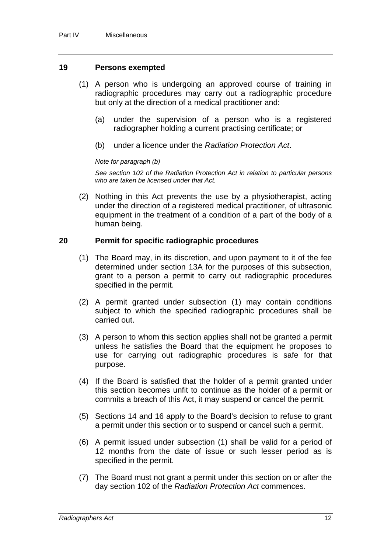#### <span id="page-12-0"></span>**19 Persons exempted**

- (1) A person who is undergoing an approved course of training in radiographic procedures may carry out a radiographic procedure but only at the direction of a medical practitioner and:
	- (a) under the supervision of a person who is a registered radiographer holding a current practising certificate; or
	- (b) under a licence under the *Radiation Protection Act*.

#### *Note for paragraph (b)*

*See section 102 of the Radiation Protection Act in relation to particular persons who are taken be licensed under that Act.* 

 (2) Nothing in this Act prevents the use by a physiotherapist, acting under the direction of a registered medical practitioner, of ultrasonic equipment in the treatment of a condition of a part of the body of a human being.

#### <span id="page-12-1"></span>**20 Permit for specific radiographic procedures**

- (1) The Board may, in its discretion, and upon payment to it of the fee determined under section 13A for the purposes of this subsection, grant to a person a permit to carry out radiographic procedures specified in the permit.
- (2) A permit granted under subsection (1) may contain conditions subject to which the specified radiographic procedures shall be carried out.
- (3) A person to whom this section applies shall not be granted a permit unless he satisfies the Board that the equipment he proposes to use for carrying out radiographic procedures is safe for that purpose.
- (4) If the Board is satisfied that the holder of a permit granted under this section becomes unfit to continue as the holder of a permit or commits a breach of this Act, it may suspend or cancel the permit.
- (5) Sections 14 and 16 apply to the Board's decision to refuse to grant a permit under this section or to suspend or cancel such a permit.
- (6) A permit issued under subsection (1) shall be valid for a period of 12 months from the date of issue or such lesser period as is specified in the permit.
- (7) The Board must not grant a permit under this section on or after the day section 102 of the *Radiation Protection Act* commences.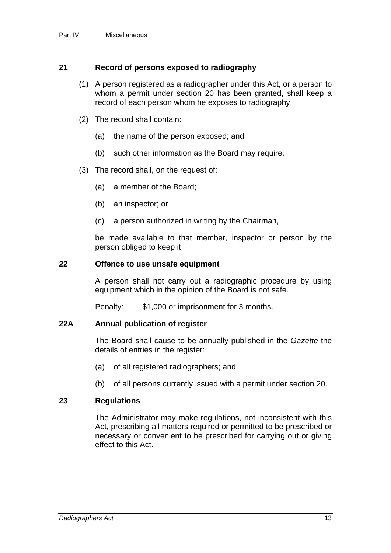#### <span id="page-13-0"></span>**21 Record of persons exposed to radiography**

- (1) A person registered as a radiographer under this Act, or a person to whom a permit under section 20 has been granted, shall keep a record of each person whom he exposes to radiography.
- (2) The record shall contain:
	- (a) the name of the person exposed; and
	- (b) such other information as the Board may require.
- (3) The record shall, on the request of:
	- (a) a member of the Board;
	- (b) an inspector; or
	- (c) a person authorized in writing by the Chairman,

be made available to that member, inspector or person by the person obliged to keep it.

#### <span id="page-13-1"></span>**22 Offence to use unsafe equipment**

A person shall not carry out a radiographic procedure by using equipment which in the opinion of the Board is not safe.

Penalty: \$1,000 or imprisonment for 3 months.

#### <span id="page-13-2"></span>**22A Annual publication of register**

The Board shall cause to be annually published in the *Gazette* the details of entries in the register:

- (a) of all registered radiographers; and
- (b) of all persons currently issued with a permit under section 20.

#### <span id="page-13-3"></span>**23 Regulations**

The Administrator may make regulations, not inconsistent with this Act, prescribing all matters required or permitted to be prescribed or necessary or convenient to be prescribed for carrying out or giving effect to this Act.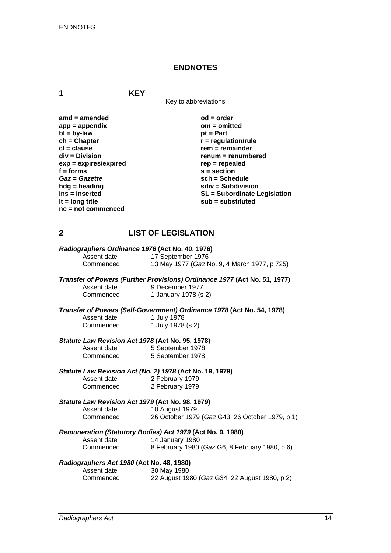#### **ENDNOTES**

**1 KEY**

Key to abbreviations

amd = amended od = order<br>
app = appendix **butch** on = omitted app = appendix om = om<br>bl = bv-law bt = Part  $\mathbf{b}$  =  $\mathbf{b}$ y-law **ch = Chapter r = regulation/rule in the clause of the clause of the clause of the clause of the clause of the clause of the clause of the clause of the clause of the clause of the clause of the clause of the clause of the cl = clause rem = remainder**<br>div = Division **rem = remainder** *renum* = renumb **exp = expires/expired** rep = repealed **rep = repealed**  $s$  = section *Gaz* **=** *Gazette* **sch = Schedule hdg = heading solid solid solid state in the subdivision in the subdivision solid solid state subdivision lt = long title substituted is a substituted sub = substituted is a substituted in the substituted in the substituted in the substituted in the substituted in the substituted in the substituted in the substituted in the s nc = not commenced** 

renum = renumbered **f = forms s = section ins = inserted SL = Subordinate Legislation** 

#### **2 LIST OF LEGISLATION**

| Radiographers Ordinance 1976 (Act No. 40, 1976) |                   |                                              |
|-------------------------------------------------|-------------------|----------------------------------------------|
| Assent date<br>Commenced                        | 17 September 1976 | 13 May 1977 (Gaz No. 9, 4 March 1977, p 725) |

*Transfer of Powers (Further Provisions) Ordinance 1977* **(Act No. 51, 1977)**  Assent date 9 December 1977 Commenced 1 January 1978 (s 2)

*Transfer of Powers (Self-Government) Ordinance 1978* **(Act No. 54, 1978)**  Assent date

| <b>1 JULY 1910</b> |
|--------------------|
| 1 July 1978 (s 2)  |

#### *Statute Law Revision Act 1978* **(Act No. 95, 1978)**

| Assent date | 5 September 1978 |
|-------------|------------------|
| Commenced   | 5 September 1978 |

# *Statute Law Revision Act (No. 2) 1978* **(Act No. 19, 1979)**

Assent date 2 February 1979<br>Commenced 2 February 1979 2 February 1979

#### *Statute Law Revision Act 1979* **(Act No. 98, 1979)** Assent date

| 10 August 1979  |  |
|-----------------|--|
| 26 October 1979 |  |

| Commenced |  | 26 October 1979 (Gaz G43, 26 October 1979, p 1) |  |  |  |
|-----------|--|-------------------------------------------------|--|--|--|
|-----------|--|-------------------------------------------------|--|--|--|

## *Remuneration (Statutory Bodies) Act 1979* **(Act No. 9, 1980)**

Commenced

#### Assent date 14 January 1980<br>Commenced 8 February 1980 8 February 1980 (*Gaz* G6, 8 February 1980, p 6)

#### *Radiographers Act 1980* **(Act No. 48, 1980)**

| Assent date | 30 May 1980                                   |
|-------------|-----------------------------------------------|
| Commenced   | 22 August 1980 (Gaz G34, 22 August 1980, p 2) |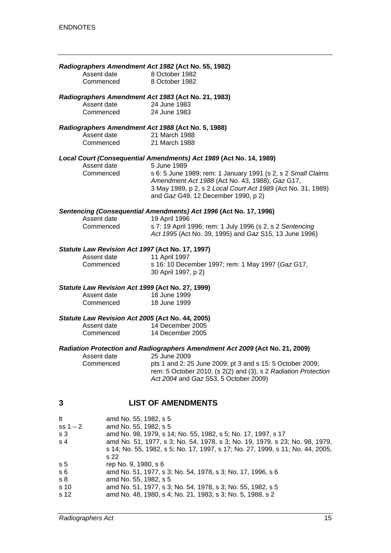| Assent date                                      | Radiographers Amendment Act 1982 (Act No. 55, 1982)<br>8 October 1982                                                                                                                                                                 |
|--------------------------------------------------|---------------------------------------------------------------------------------------------------------------------------------------------------------------------------------------------------------------------------------------|
| Commenced                                        | 8 October 1982                                                                                                                                                                                                                        |
| Assent date                                      | Radiographers Amendment Act 1983 (Act No. 21, 1983)<br>24 June 1983                                                                                                                                                                   |
| Commenced                                        | 24 June 1983                                                                                                                                                                                                                          |
|                                                  | Radiographers Amendment Act 1988 (Act No. 5, 1988)                                                                                                                                                                                    |
| Assent date<br>Commenced                         | 21 March 1988<br>21 March 1988                                                                                                                                                                                                        |
|                                                  | Local Court (Consequential Amendments) Act 1989 (Act No. 14, 1989)                                                                                                                                                                    |
| Assent date<br>Commenced                         | 5 June 1989<br>s 6: 5 June 1989; rem: 1 January 1991 (s 2, s 2 Small Claims<br>Amendment Act 1988 (Act No. 43, 1988), Gaz G17,<br>3 May 1989, p 2, s 2 Local Court Act 1989 (Act No. 31, 1989)<br>and Gaz G49, 12 December 1990, p 2) |
|                                                  | Sentencing (Consequential Amendments) Act 1996 (Act No. 17, 1996)                                                                                                                                                                     |
| Assent date<br>Commenced                         | 19 April 1996<br>s 7: 19 April 1996; rem: 1 July 1996 (s 2, s 2 Sentencing<br>Act 1995 (Act No. 39, 1995) and Gaz S15, 13 June 1996)                                                                                                  |
| Statute Law Revision Act 1997 (Act No. 17, 1997) |                                                                                                                                                                                                                                       |
| Assent date<br>Commenced                         | 11 April 1997<br>s 16: 10 December 1997; rem: 1 May 1997 (Gaz G17,<br>30 April 1997, p 2)                                                                                                                                             |
| Statute Law Revision Act 1999 (Act No. 27, 1999) |                                                                                                                                                                                                                                       |
| Assent date<br>Commenced                         | 18 June 1999<br>18 June 1999                                                                                                                                                                                                          |
| Statute Law Revision Act 2005 (Act No. 44, 2005) |                                                                                                                                                                                                                                       |
| Assent date<br>Commenced                         | 14 December 2005<br>14 December 2005                                                                                                                                                                                                  |
|                                                  | Radiation Protection and Radiographers Amendment Act 2009 (Act No. 21, 2009)                                                                                                                                                          |
| Assent date<br>Commenced                         | 25 June 2009<br>pts 1 and 2: 25 June 2009; pt 3 and s 15: 5 October 2009;<br>rem: 5 October 2010; (s 2(2) and (3), s 2 Radiation Protection<br>Act 2004 and Gaz S53, 5 October 2009)                                                  |
| 3                                                | <b>LIST OF AMENDMENTS</b>                                                                                                                                                                                                             |

| It             | amd No. 55, 1982, s 5                                                          |
|----------------|--------------------------------------------------------------------------------|
| ss $1 - 2$     | amd No. 55, 1982, s 5                                                          |
| s <sub>3</sub> | amd No. 98, 1979, s 14; No. 55, 1982, s 5; No. 17, 1997, s 17                  |
| s <sub>4</sub> | amd No. 51, 1977, s 3; No. 54, 1978, s 3; No. 19, 1979, s 23; No. 98, 1979,    |
|                | s 14; No. 55, 1982, s 5; No. 17, 1997, s 17; No. 27, 1999, s 11; No. 44, 2005, |
|                | s 22                                                                           |
| s <sub>5</sub> | rep No. 9, 1980, s 6                                                           |
| s <sub>6</sub> | amd No. 51, 1977, s 3; No. 54, 1978, s 3; No. 17, 1996, s 6                    |
| s <sub>8</sub> | amd No. 55, 1982, s 5                                                          |
| s 10           | amd No. 51, 1977, s 3; No. 54, 1978, s 3; No. 55, 1982, s 5                    |
| s 12           | amd No. 48, 1980, s 4; No. 21, 1983, s 3; No. 5, 1988, s 2                     |
|                |                                                                                |